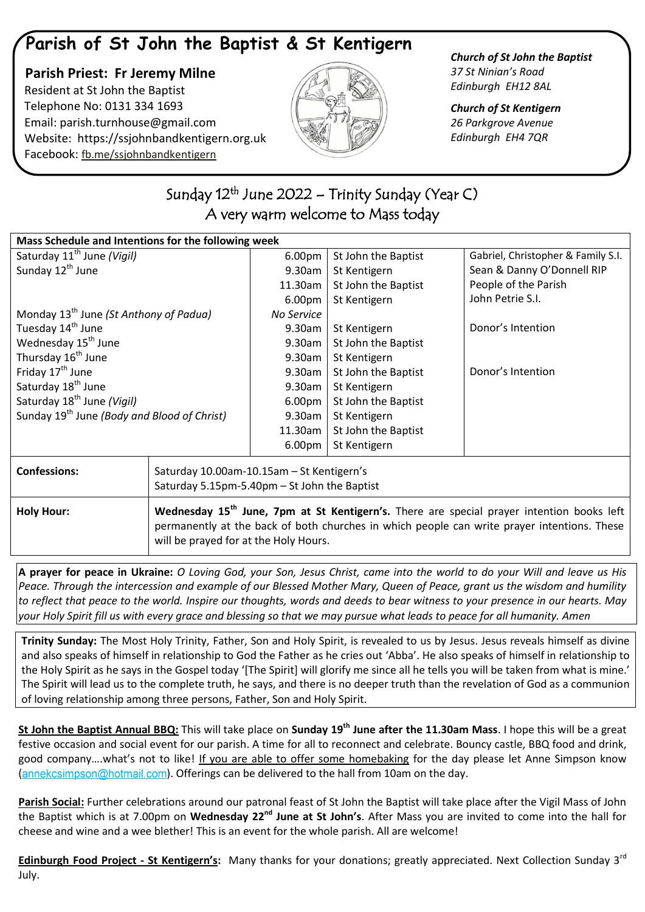## **Parish of St John the Baptist & St Kentigern**

 **Parish Priest: Fr Jeremy Milne** Resident at St John the Baptist Telephone No: 0131 334 1693 Email: [parish.turnhouse@gmail.com](mailto:parish.turnhouse@gmail.com)  Website: [https://ssjohnbandkentigern.org.uk](https://ssjohnbandkentigern.org.uk/) Facebook: [fb.me/ssjohnbandkentigern](https://fb.me/ssjohnbandkentigern)



*Church of St John the Baptist 37 St Ninian's Road Edinburgh EH12 8AL*

*Church of St Kentigern 26 Parkgrove Avenue Edinburgh EH4 7QR*

## ֖֚֚֚֬ Sunday 12<sup>th</sup> June 2022 – Trinity Sunday (Year C) A very warm welcome to Mass today  $\overline{\phantom{a}}$

֦ j

| Mass Schedule and Intentions for the following week     |                                                                                                                                                                                                                                               |                    |                     |                                    |
|---------------------------------------------------------|-----------------------------------------------------------------------------------------------------------------------------------------------------------------------------------------------------------------------------------------------|--------------------|---------------------|------------------------------------|
| Saturday 11 <sup>th</sup> June (Vigil)                  |                                                                                                                                                                                                                                               | 6.00 <sub>pm</sub> | St John the Baptist | Gabriel, Christopher & Family S.I. |
| Sunday 12 <sup>th</sup> June                            |                                                                                                                                                                                                                                               | 9.30am             | St Kentigern        | Sean & Danny O'Donnell RIP         |
|                                                         |                                                                                                                                                                                                                                               | 11.30am            | St John the Baptist | People of the Parish               |
|                                                         |                                                                                                                                                                                                                                               | 6.00pm             | St Kentigern        | John Petrie S.I.                   |
| Monday 13 <sup>th</sup> June (St Anthony of Padua)      |                                                                                                                                                                                                                                               | No Service         |                     |                                    |
| Tuesday 14 <sup>th</sup> June                           |                                                                                                                                                                                                                                               | 9.30am             | St Kentigern        | Donor's Intention                  |
| Wednesday 15 <sup>th</sup> June                         |                                                                                                                                                                                                                                               | 9.30am             | St John the Baptist |                                    |
| Thursday 16 <sup>th</sup> June                          |                                                                                                                                                                                                                                               | 9.30am             | St Kentigern        |                                    |
| Friday 17 <sup>th</sup> June                            |                                                                                                                                                                                                                                               | 9.30am             | St John the Baptist | Donor's Intention                  |
| Saturday 18 <sup>th</sup> June                          |                                                                                                                                                                                                                                               | 9.30am             | St Kentigern        |                                    |
| Saturday 18 <sup>th</sup> June (Vigil)                  |                                                                                                                                                                                                                                               | 6.00 <sub>pm</sub> | St John the Baptist |                                    |
| Sunday 19 <sup>th</sup> June (Body and Blood of Christ) |                                                                                                                                                                                                                                               | 9.30am             | St Kentigern        |                                    |
|                                                         |                                                                                                                                                                                                                                               | 11.30am            | St John the Baptist |                                    |
|                                                         |                                                                                                                                                                                                                                               | 6.00pm             | St Kentigern        |                                    |
| <b>Confessions:</b>                                     | Saturday 10.00am-10.15am - St Kentigern's<br>Saturday 5.15pm-5.40pm - St John the Baptist                                                                                                                                                     |                    |                     |                                    |
| <b>Holy Hour:</b>                                       | Wednesday 15 <sup>th</sup> June, 7pm at St Kentigern's. There are special prayer intention books left<br>permanently at the back of both churches in which people can write prayer intentions. These<br>will be prayed for at the Holy Hours. |                    |                     |                                    |

**A prayer for peace in Ukraine:** *O Loving God, your Son, Jesus Christ, came into the world to do your Will and leave us His Peace. Through the intercession and example of our Blessed Mother Mary, Queen of Peace, grant us the wisdom and humility to reflect that peace to the world. Inspire our thoughts, words and deeds to bear witness to your presence in our hearts. May your Holy Spirit fill us with every grace and blessing so that we may pursue what leads to peace for all humanity. Amen*

**Trinity Sunday:** The Most Holy Trinity, Father, Son and Holy Spirit, is revealed to us by Jesus. Jesus reveals himself as divine and also speaks of himself in relationship to God the Father as he cries out 'Abba'. He also speaks of himself in relationship to the Holy Spirit as he says in the Gospel today '[The Spirit] will glorify me since all he tells you will be taken from what is mine.' The Spirit will lead us to the complete truth, he says, and there is no deeper truth than the revelation of God as a communion of loving relationship among three persons, Father, Son and Holy Spirit.

**St John the Baptist Annual BBQ:** This will take place on **Sunday 19th June after the 11.30am Mass**. I hope this will be a great festive occasion and social event for our parish. A time for all to reconnect and celebrate. Bouncy castle, BBQ food and drink, good company….what's not to like! If you are able to offer some homebaking for the day please let Anne Simpson know  $(annekcsimpson@hotmail.com)$  $(annekcsimpson@hotmail.com)$ . Offerings can be delivered to the hall from 10am on the day.

**Parish Social:** Further celebrations around our patronal feast of St John the Baptist will take place after the Vigil Mass of John the Baptist which is at 7.00pm on **Wednesday 22nd June at St John's**. After Mass you are invited to come into the hall for cheese and wine and a wee blether! This is an event for the whole parish. All are welcome!

**Edinburgh Food Project - St Kentigern's:** Many thanks for your donations; greatly appreciated. Next Collection Sunday 3rd July.